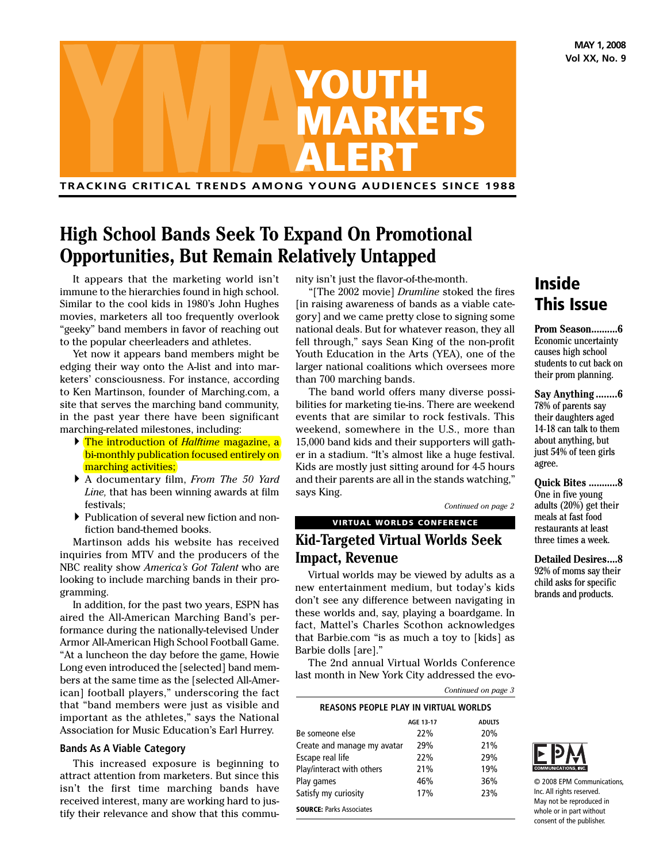**MAY 1, 2008 Vol XX, No. 9**



**TRACKING CRITICAL TRENDS AMONG YOUNG AUDIENCES SINCE 1988**

# **High School Bands Seek To Expand On Promotional Opportunities, But Remain Relatively Untapped**

It appears that the marketing world isn't immune to the hierarchies found in high school. Similar to the cool kids in 1980's John Hughes movies, marketers all too frequently overlook "geeky" band members in favor of reaching out to the popular cheerleaders and athletes.

Yet now it appears band members might be edging their way onto the A-list and into marketers' consciousness. For instance, according to Ken Martinson, founder of Marching.com, a site that serves the marching band community, in the past year there have been significant marching-related milestones, including:

- } The introduction of *Halftime* magazine, a bi-monthly publication focused entirely on marching activities;
- } A documentary film, *From The 50 Yard Line,* that has been winning awards at film festivals;
- } Publication of several new fiction and nonfiction band-themed books.

Martinson adds his website has received inquiries from MTV and the producers of the NBC reality show *America's Got Talent* who are looking to include marching bands in their programming.

In addition, for the past two years, ESPN has aired the All-American Marching Band's performance during the nationally-televised Under Armor All-American High School Football Game. "At a luncheon the day before the game, Howie Long even introduced the [selected] band members at the same time as the [selected All-American] football players," underscoring the fact that "band members were just as visible and important as the athletes," says the National Association for Music Education's Earl Hurrey.

### **Bands As A Viable Category**

This increased exposure is beginning to attract attention from marketers. But since this isn't the first time marching bands have received interest, many are working hard to justify their relevance and show that this community isn't just the flavor-of-the-month.

"[The 2002 movie] *Drumline* stoked the fires [in raising awareness of bands as a viable category] and we came pretty close to signing some national deals. But for whatever reason, they all fell through," says Sean King of the non-profit Youth Education in the Arts (YEA), one of the larger national coalitions which oversees more than 700 marching bands.

The band world offers many diverse possibilities for marketing tie-ins. There are weekend events that are similar to rock festivals. This weekend, somewhere in the U.S., more than 15,000 band kids and their supporters will gather in a stadium. "It's almost like a huge festival. Kids are mostly just sitting around for 4-5 hours and their parents are all in the stands watching," says King.

*Continued on page 2*

# **VIRTUAL WORLDS CONFERENCE Kid-Targeted Virtual Worlds Seek**

**Impact, Revenue**

Virtual worlds may be viewed by adults as a new entertainment medium, but today's kids don't see any difference between navigating in these worlds and, say, playing a boardgame. In fact, Mattel's Charles Scothon acknowledges that Barbie.com "is as much a toy to [kids] as Barbie dolls [are]."

The 2nd annual Virtual Worlds Conference last month in New York City addressed the evo-

*Continued on page 3*

# **REASONS PEOPLE PLAY IN VIRTUAL WORLDS AGE 13-17 ADULTS**

| Be someone else                 | 22% | 20% |
|---------------------------------|-----|-----|
| Create and manage my avatar     | 29% | 21% |
| Escape real life                | 22% | 29% |
| Play/interact with others       | 21% | 19% |
| Play games                      | 46% | 36% |
| Satisfy my curiosity            | 17% | 23% |
| <b>SOURCE: Parks Associates</b> |     |     |

# **Inside This Issue**

**Prom Season..........6** Economic uncertainty causes high school students to cut back on their prom planning.

**Say Anything........6** 78% of parents say their daughters aged 14-18 can talk to them about anything, but just 54% of teen girls agree.

**Quick Bites ...........8** One in five young adults (20%) get their meals at fast food restaurants at least three times a week.

**Detailed Desires....8** 92% of moms say their child asks for specific brands and products.



© 2008 EPM Communications, Inc. All rights reserved. May not be reproduced in whole or in part without consent of the publisher.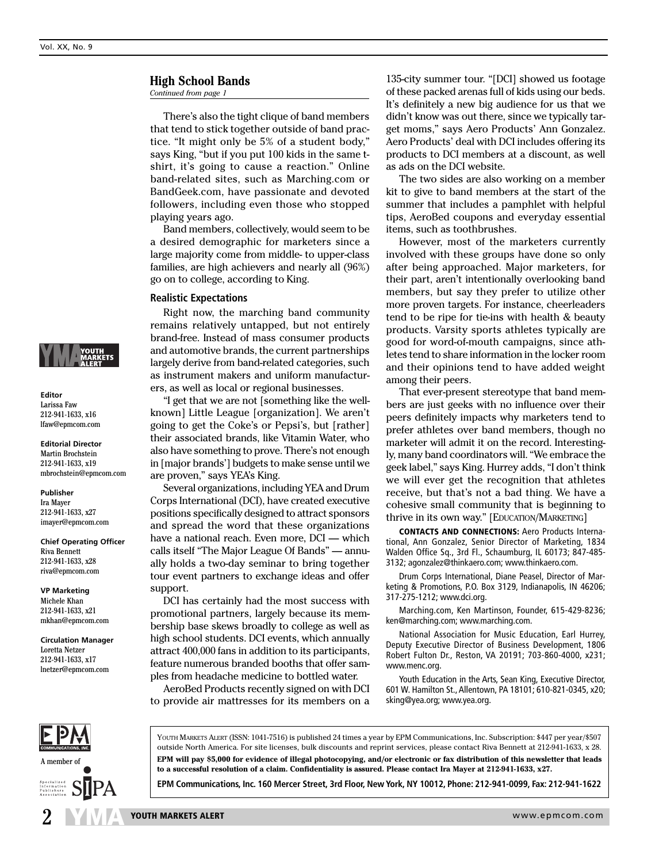**Editor** Larissa Faw 212-941-1633, x16 lfaw@epmcom.com **Editorial Director** Martin Brochstein 212-941-1633, x19 mbrochstein@epmcom.com

**Publisher** Ira Mayer 212-941-1633, x27 imayer@epmcom.com **Chief Operating Officer**

Riva Bennett 212-941-1633, x28 riva@epmcom.com **VP Marketing** Michele Khan 212-941-1633, x21 mkhan@epmcom.com **Circulation Manager** Loretta Netzer 212-941-1633, x17 lnetzer@epmcom.com

### **High School Bands**

*Continued from page 1*

There's also the tight clique of band members that tend to stick together outside of band practice. "It might only be 5% of a student body," says King, "but if you put 100 kids in the same tshirt, it's going to cause a reaction." Online band-related sites, such as Marching.com or BandGeek.com, have passionate and devoted followers, including even those who stopped playing years ago.

Band members, collectively, would seem to be a desired demographic for marketers since a large majority come from middle- to upper-class families, are high achievers and nearly all (96%) go on to college, according to King.

### **Realistic Expectations**

Right now, the marching band community remains relatively untapped, but not entirely brand-free. Instead of mass consumer products and automotive brands, the current partnerships largely derive from band-related categories, such as instrument makers and uniform manufacturers, as well as local or regional businesses.

"I get that we are not [something like the wellknown] Little League [organization]. We aren't going to get the Coke's or Pepsi's, but [rather] their associated brands, like Vitamin Water, who also have something to prove. There's not enough in [major brands'] budgets to make sense until we are proven," says YEA's King.

Several organizations, including YEA and Drum Corps International (DCI), have created executive positions specifically designed to attract sponsors and spread the word that these organizations have a national reach. Even more, DCI — which calls itself "The Major League Of Bands" — annually holds a two-day seminar to bring together tour event partners to exchange ideas and offer support.

DCI has certainly had the most success with promotional partners, largely because its membership base skews broadly to college as well as high school students. DCI events, which annually attract 400,000 fans in addition to its participants, feature numerous branded booths that offer samples from headache medicine to bottled water.

AeroBed Products recently signed on with DCI to provide air mattresses for its members on a 135-city summer tour. "[DCI] showed us footage of these packed arenas full of kids using our beds. It's definitely a new big audience for us that we didn't know was out there, since we typically target moms," says Aero Products' Ann Gonzalez. Aero Products' deal with DCI includes offering its products to DCI members at a discount, as well as ads on the DCI website.

The two sides are also working on a member kit to give to band members at the start of the summer that includes a pamphlet with helpful tips, AeroBed coupons and everyday essential items, such as toothbrushes.

However, most of the marketers currently involved with these groups have done so only after being approached. Major marketers, for their part, aren't intentionally overlooking band members, but say they prefer to utilize other more proven targets. For instance, cheerleaders tend to be ripe for tie-ins with health & beauty products. Varsity sports athletes typically are good for word-of-mouth campaigns, since athletes tend to share information in the locker room and their opinions tend to have added weight among their peers.

That ever-present stereotype that band members are just geeks with no influence over their peers definitely impacts why marketers tend to prefer athletes over band members, though no marketer will admit it on the record. Interestingly, many band coordinators will. "We embrace the geek label," says King. Hurrey adds, "I don't think we will ever get the recognition that athletes receive, but that's not a bad thing. We have a cohesive small community that is beginning to thrive in its own way." [EDUCATION/MARKETING]

**CONTACTS AND CONNECTIONS:** Aero Products International, Ann Gonzalez, Senior Director of Marketing, 1834 Walden Office Sq., 3rd Fl., Schaumburg, IL 60173; 847-485- 3132; agonzalez@thinkaero.com; www.thinkaero.com.

Drum Corps International, Diane Peasel, Director of Marketing & Promotions, P.O. Box 3129, Indianapolis, IN 46206; 317-275-1212; www.dci.org.

Marching.com, Ken Martinson, Founder, 615-429-8236; ken@marching.com; www.marching.com.

National Association for Music Education, Earl Hurrey, Deputy Executive Director of Business Development, 1806 Robert Fulton Dr., Reston, VA 20191; 703-860-4000, x231; www.menc.org.

Youth Education in the Arts, Sean King, Executive Director, 601 W. Hamilton St., Allentown, PA 18101; 610-821-0345, x20; sking@yea.org; www.yea.org.



YOUTH MARKETS ALERT (ISSN: 1041-7516) is published 24 times a year by EPM Communications, Inc. Subscription: \$447 per year/\$507 outside North America. For site licenses, bulk discounts and reprint services, please contact Riva Bennett at 212-941-1633, x 28. **EPM will pay \$5,000 for evidence of illegal photocopying, and/or electronic or fax distribution of this newsletter that leads to a successful resolution of a claim. Confidentiality is assured. Please contact Ira Mayer at 212-941-1633, x27.**

**EPM Communications, Inc. 160 Mercer Street, 3rd Floor, New York, NY 10012, Phone: 212-941-0099, Fax: 212-941-1622**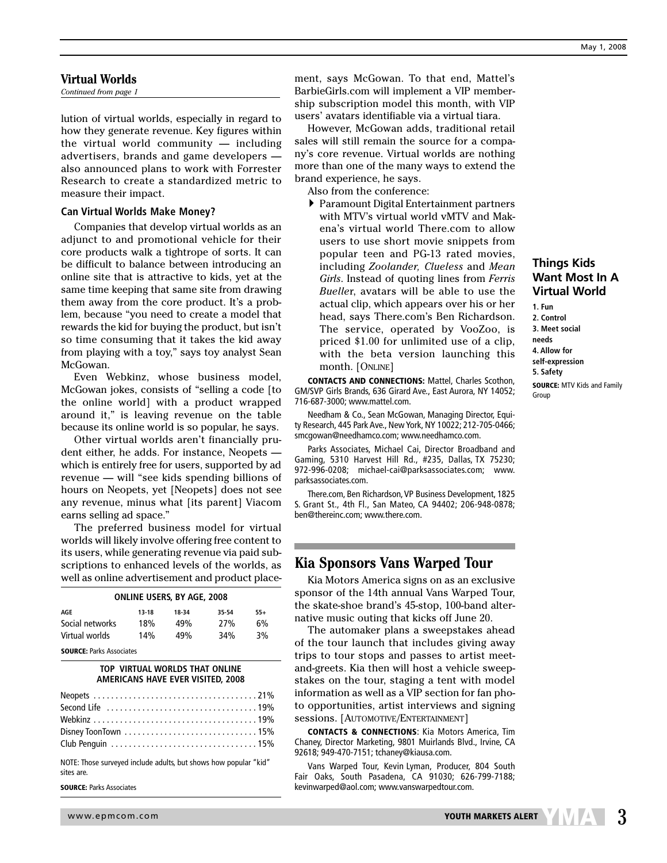### **Virtual Worlds**

*Continued from page 1*

lution of virtual worlds, especially in regard to how they generate revenue. Key figures within the virtual world community — including advertisers, brands and game developers also announced plans to work with Forrester Research to create a standardized metric to measure their impact.

### **Can Virtual Worlds Make Money?**

Companies that develop virtual worlds as an adjunct to and promotional vehicle for their core products walk a tightrope of sorts. It can be difficult to balance between introducing an online site that is attractive to kids, yet at the same time keeping that same site from drawing them away from the core product. It's a problem, because "you need to create a model that rewards the kid for buying the product, but isn't so time consuming that it takes the kid away from playing with a toy," says toy analyst Sean McGowan.

Even Webkinz, whose business model, McGowan jokes, consists of "selling a code [to the online world] with a product wrapped around it," is leaving revenue on the table because its online world is so popular, he says.

Other virtual worlds aren't financially prudent either, he adds. For instance, Neopets which is entirely free for users, supported by ad revenue — will "see kids spending billions of hours on Neopets, yet [Neopets] does not see any revenue, minus what [its parent] Viacom earns selling ad space."

The preferred business model for virtual worlds will likely involve offering free content to its users, while generating revenue via paid subscriptions to enhanced levels of the worlds, as well as online advertisement and product place-

| <b>ONLINE USERS, BY AGE, 2008</b> |       |       |       |  |  |  |  |  |  |
|-----------------------------------|-------|-------|-------|--|--|--|--|--|--|
| $13 - 18$                         | 18-34 | 35-54 | $55+$ |  |  |  |  |  |  |
| 18%                               | 49%   | 27%   | 6%    |  |  |  |  |  |  |
| 14%                               | 49%   | 34%   | 3%    |  |  |  |  |  |  |
|                                   |       |       |       |  |  |  |  |  |  |

**SOURCE:** Parks Associates

### **TOP VIRTUAL WORLDS THAT ONLINE AMERICANS HAVE EVER VISITED, 2008**

NOTE: Those surveyed include adults, but shows how popular "kid" sites are.

**SOURCE:** Parks Associates

ment, says McGowan. To that end, Mattel's BarbieGirls.com will implement a VIP membership subscription model this month, with VIP users' avatars identifiable via a virtual tiara.

However, McGowan adds, traditional retail sales will still remain the source for a company's core revenue. Virtual worlds are nothing more than one of the many ways to extend the brand experience, he says.

Also from the conference:

} Paramount Digital Entertainment partners with MTV's virtual world vMTV and Makena's virtual world There.com to allow users to use short movie snippets from popular teen and PG-13 rated movies, including *Zoolander, Clueless* and *Mean Girls*. Instead of quoting lines from *Ferris Buelle*r, avatars will be able to use the actual clip, which appears over his or her head, says There.com's Ben Richardson. The service, operated by VooZoo, is priced \$1.00 for unlimited use of a clip, with the beta version launching this month. [ONLINE]

**CONTACTS AND CONNECTIONS:** Mattel, Charles Scothon, GM/SVP Girls Brands, 636 Girard Ave., East Aurora, NY 14052; 716-687-3000; www.mattel.com.

Needham & Co., Sean McGowan, Managing Director, Equity Research, 445 Park Ave., New York, NY 10022; 212-705-0466; smcgowan@needhamco.com; www.needhamco.com.

Parks Associates, Michael Cai, Director Broadband and Gaming, 5310 Harvest Hill Rd., #235, Dallas, TX 75230; 972-996-0208; michael-cai@parksassociates.com; www. parksassociates.com.

There.com, Ben Richardson,VP Business Development, 1825 S. Grant St., 4th Fl., San Mateo, CA 94402; 206-948-0878; ben@thereinc.com; www.there.com.

# **Kia Sponsors Vans Warped Tour**

Kia Motors America signs on as an exclusive sponsor of the 14th annual Vans Warped Tour, the skate-shoe brand's 45-stop, 100-band alternative music outing that kicks off June 20.

The automaker plans a sweepstakes ahead of the tour launch that includes giving away trips to tour stops and passes to artist meetand-greets. Kia then will host a vehicle sweepstakes on the tour, staging a tent with model information as well as a VIP section for fan photo opportunities, artist interviews and signing sessions. [AUTOMOTIVE/ENTERTAINMENT]

**CONTACTS & CONNECTIONS**: Kia Motors America, Tim Chaney, Director Marketing, 9801 Muirlands Blvd., Irvine, CA 92618; 949-470-7151; tchaney@kiausa.com.

Vans Warped Tour, Kevin Lyman, Producer, 804 South Fair Oaks, South Pasadena, CA 91030; 626-799-7188; kevinwarped@aol.com; www.vanswarpedtour.com.

## **Things Kids Want Most In A Virtual World 1. Fun**

**2. Control 3. Meet social needs 4. Allow for self-expression 5. Safety**

**SOURCE:** MTV Kids and Family Group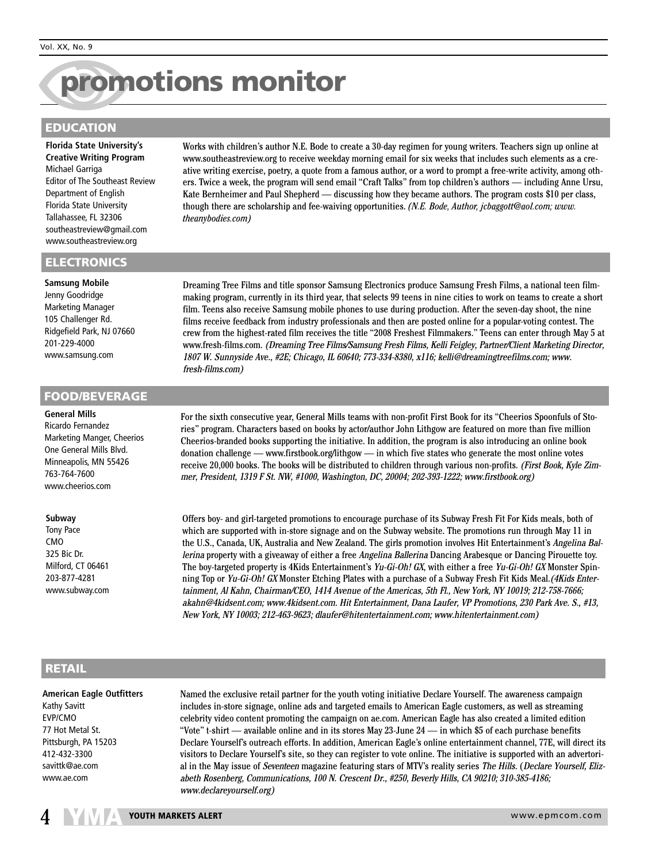# N**promotions monitor**

# **EDUCATION**

**Florida State University's Creative Writing Program** Michael Garriga Editor of The Southeast Review Department of English Florida State University Tallahassee, FL 32306 southeastreview@gmail.com www.southeastreview.org

### **ELECTRONICS**

# **Samsung Mobile**

Jenny Goodridge Marketing Manager 105 Challenger Rd. Ridgefield Park, NJ 07660 201-229-4000 www.samsung.com

### **FOOD/BEVERAGE**

### **General Mills**

Ricardo Fernandez Marketing Manger, Cheerios One General Mills Blvd. Minneapolis, MN 55426 763-764-7600 www.cheerios.com

### **Subway**

Tony Pace CMO 325 Bic Dr. Milford, CT 06461 203-877-4281 www.subway.com Works with children's author N.E. Bode to create a 30-day regimen for young writers. Teachers sign up online at www.southeastreview.org to receive weekday morning email for six weeks that includes such elements as a creative writing exercise, poetry, a quote from a famous author, or a word to prompt a free-write activity, among others. Twice a week, the program will send email "Craft Talks" from top children's authors — including Anne Ursu, Kate Bernheimer and Paul Shepherd — discussing how they became authors. The program costs \$10 per class, though there are scholarship and fee-waiving opportunities. *(N.E. Bode, Author, jcbaggott@aol.com; www. theanybodies.com)*

Dreaming Tree Films and title sponsor Samsung Electronics produce Samsung Fresh Films, a national teen filmmaking program, currently in its third year, that selects 99 teens in nine cities to work on teams to create a short film. Teens also receive Samsung mobile phones to use during production. After the seven-day shoot, the nine films receive feedback from industry professionals and then are posted online for a popular-voting contest. The crew from the highest-rated film receives the title "2008 Freshest Filmmakers." Teens can enter through May 5 at www.fresh-films.com. (Dreaming Tree Films/Samsung Fresh Films, Kelli Feigley, Partner/Client Marketing Director, 1807 W. Sunnyside Ave., #2E; Chicago, IL 60640; 773-334-8380, x116; kelli@dreamingtreefilms.com; www. fresh-films.com)

For the sixth consecutive year, General Mills teams with non-profit First Book for its "Cheerios Spoonfuls of Stories" program. Characters based on books by actor/author John Lithgow are featured on more than five million Cheerios-branded books supporting the initiative. In addition, the program is also introducing an online book donation challenge — www.firstbook.org/lithgow — in which five states who generate the most online votes receive 20,000 books. The books will be distributed to children through various non-profits. (First Book, Kyle Zimmer, President, 1319 F St. NW, #1000, Washington, DC, 20004; 202-393-1222; www.firstbook.org)

Offers boy- and girl-targeted promotions to encourage purchase of its Subway Fresh Fit For Kids meals, both of which are supported with in-store signage and on the Subway website. The promotions run through May 11 in the U.S., Canada, UK, Australia and New Zealand. The girls promotion involves Hit Entertainment's Angelina Ballerina property with a giveaway of either a free Angelina Ballerina Dancing Arabesque or Dancing Pirouette toy. The boy-targeted property is 4Kids Entertainment's Yu-Gi-Oh! GX, with either a free Yu-Gi-Oh! GX Monster Spinning Top or Yu-Gi-Oh! GX Monster Etching Plates with a purchase of a Subway Fresh Fit Kids Meal. (4Kids Entertainment, Al Kahn, Chairman/CEO, 1414 Avenue of the Americas, 5th Fl., New York, NY 10019; 212-758-7666; akahn@4kidsent.com; www.4kidsent.com. Hit Entertainment, Dana Laufer, VP Promotions, 230 Park Ave. S., #13, New York, NY 10003; 212-463-9623; dlaufer@hitentertainment.com; www.hitentertainment.com)

# **RETAIL**

## **American Eagle Outfitters** Kathy Savitt

EVP/CMO 77 Hot Metal St. Pittsburgh, PA 15203 412-432-3300 savittk@ae.com www.ae.com

Named the exclusive retail partner for the youth voting initiative Declare Yourself. The awareness campaign includes in-store signage, online ads and targeted emails to American Eagle customers, as well as streaming celebrity video content promoting the campaign on ae.com. American Eagle has also created a limited edition "Vote" t-shirt — available online and in its stores May 23-June 24 — in which \$5 of each purchase benefits Declare Yourself's outreach efforts. In addition, American Eagle's online entertainment channel, 77E, will direct its visitors to Declare Yourself's site, so they can register to vote online. The initiative is supported with an advertorial in the May issue of Seventeen magazine featuring stars of MTV's reality series The Hills. (Declare Yourself, Elizabeth Rosenberg, Communications, 100 N. Crescent Dr., #250, Beverly Hills, CA 90210; 310-385-4186; www.declareyourself.org)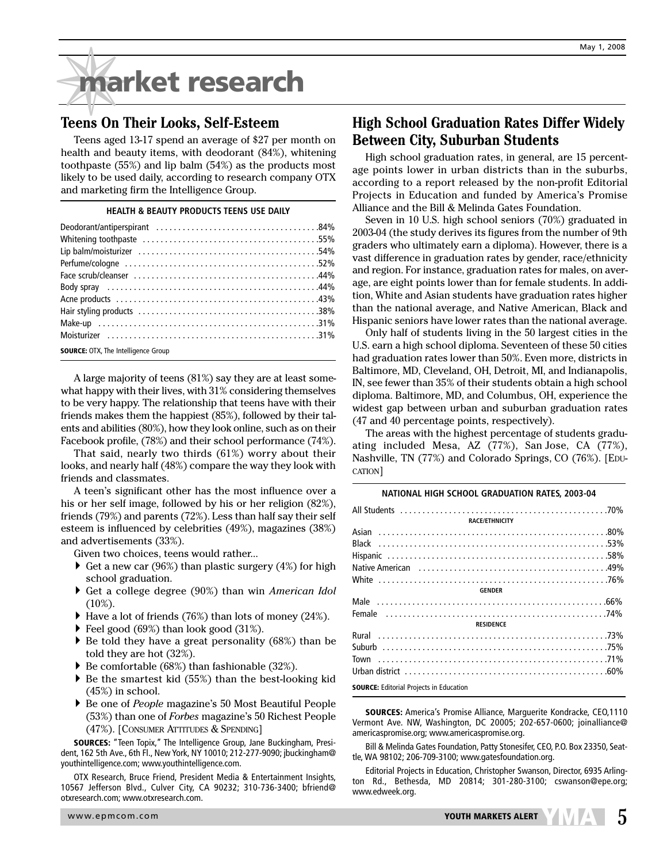# ✵**market research**

# **Teens On Their Looks, Self-Esteem**

Teens aged 13-17 spend an average of \$27 per month on health and beauty items, with deodorant (84%), whitening toothpaste (55%) and lip balm (54%) as the products most likely to be used daily, according to research company OTX and marketing firm the Intelligence Group.

### **HEALTH & BEAUTY PRODUCTS TEENS USE DAILY**

| $\frac{1}{2}$ $\frac{1}{2}$ $\frac{1}{2}$ $\frac{1}{2}$ $\frac{1}{2}$ $\frac{1}{2}$ $\frac{1}{2}$ $\frac{1}{2}$ $\frac{1}{2}$ $\frac{1}{2}$ $\frac{1}{2}$ $\frac{1}{2}$ $\frac{1}{2}$ $\frac{1}{2}$ $\frac{1}{2}$ $\frac{1}{2}$ $\frac{1}{2}$ $\frac{1}{2}$ $\frac{1}{2}$ $\frac{1}{2}$ $\frac{1}{2}$ $\frac{1}{2}$ |
|---------------------------------------------------------------------------------------------------------------------------------------------------------------------------------------------------------------------------------------------------------------------------------------------------------------------|

**SOURCE:** OTX. The Intelligence Group

A large majority of teens (81%) say they are at least somewhat happy with their lives, with 31% considering themselves to be very happy. The relationship that teens have with their friends makes them the happiest (85%), followed by their talents and abilities (80%), how they look online, such as on their Facebook profile, (78%) and their school performance (74%).

That said, nearly two thirds (61%) worry about their looks, and nearly half (48%) compare the way they look with friends and classmates.

A teen's significant other has the most influence over a his or her self image, followed by his or her religion (82%), friends (79%) and parents (72%). Less than half say their self esteem is influenced by celebrities (49%), magazines (38%) and advertisements (33%).

Given two choices, teens would rather...

- $\blacktriangleright$  Get a new car (96%) than plastic surgery (4%) for high school graduation.
- } Get a college degree (90%) than win *American Idol* (10%).
- $\blacktriangleright$  Have a lot of friends (76%) than lots of money (24%).
- ▶ Feel good (69%) than look good (31%).
- $\blacktriangleright$  Be told they have a great personality (68%) than be told they are hot (32%).
- $\blacktriangleright$  Be comfortable (68%) than fashionable (32%).
- $\blacktriangleright$  Be the smartest kid (55%) than the best-looking kid (45%) in school.
- } Be one of *People* magazine's 50 Most Beautiful People (53%) than one of *Forbes* magazine's 50 Richest People (47%). [CONSUMER ATTITUDES & SPENDING]

**SOURCES:** "Teen Topix," The Intelligence Group, Jane Buckingham, President, 162 5th Ave., 6th Fl., New York, NY 10010; 212-277-9090; jbuckingham@ youthintelligence.com; www.youthintelligence.com.

OTX Research, Bruce Friend, President Media & Entertainment Insights, 10567 Jefferson Blvd., Culver City, CA 90232; 310-736-3400; bfriend@ otxresearch.com; www.otxresearch.com.

# **High School Graduation Rates Differ Widely Between City, Suburban Students**

High school graduation rates, in general, are 15 percentage points lower in urban districts than in the suburbs, according to a report released by the non-profit Editorial Projects in Education and funded by America's Promise Alliance and the Bill & Melinda Gates Foundation.

Seven in 10 U.S. high school seniors (70%) graduated in 2003-04 (the study derives its figures from the number of 9th graders who ultimately earn a diploma). However, there is a vast difference in graduation rates by gender, race/ethnicity and region. For instance, graduation rates for males, on average, are eight points lower than for female students. In addition, White and Asian students have graduation rates higher than the national average, and Native American, Black and Hispanic seniors have lower rates than the national average.

Only half of students living in the 50 largest cities in the U.S. earn a high school diploma. Seventeen of these 50 cities had graduation rates lower than 50%. Even more, districts in Baltimore, MD, Cleveland, OH, Detroit, MI, and Indianapolis, IN, see fewer than 35% of their students obtain a high school diploma. Baltimore, MD, and Columbus, OH, experience the widest gap between urban and suburban graduation rates (47 and 40 percentage points, respectively).

The areas with the highest percentage of students graduating included Mesa, AZ (77%), San Jose, CA (77%), Nashville, TN (77%) and Colorado Springs, CO (76%). [EDU-CATION]

| NATIONAL HIGH SCHOOL GRADUATION RATES, 2003-04 |
|------------------------------------------------|
|                                                |
| <b>RACE/ETHNICITY</b>                          |
|                                                |
|                                                |
|                                                |
|                                                |
|                                                |
| <b>GENDER</b>                                  |
|                                                |
|                                                |
| <b>RESIDENCE</b>                               |
|                                                |
|                                                |
|                                                |
|                                                |
| <b>SOURCE:</b> Editorial Projects in Education |

**SOURCES:** America's Promise Alliance, Marguerite Kondracke, CEO,1110 Vermont Ave. NW, Washington, DC 20005; 202-657-0600; joinalliance@ americaspromise.org; www.americaspromise.org.

Bill & Melinda Gates Foundation, Patty Stonesifer, CEO, P.O. Box 23350, Seattle, WA 98102; 206-709-3100; www.gatesfoundation.org.

Editorial Projects in Education, Christopher Swanson, Director, 6935 Arlington Rd., Bethesda, MD 20814; 301-280-3100; cswanson@epe.org; www.edweek.org.

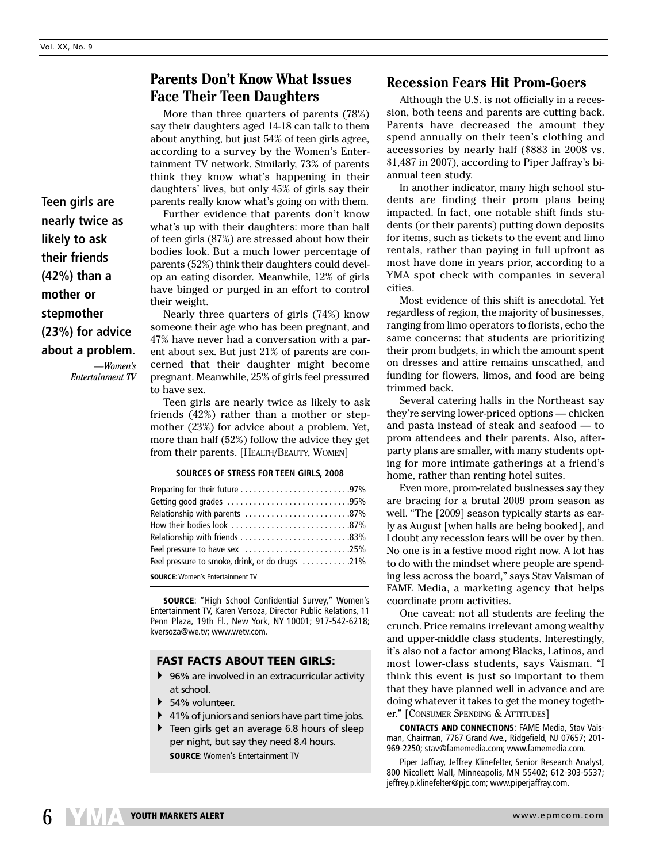# **Parents Don't Know What Issues Face Their Teen Daughters**

More than three quarters of parents (78%) say their daughters aged 14-18 can talk to them about anything, but just 54% of teen girls agree, according to a survey by the Women's Entertainment TV network. Similarly, 73% of parents think they know what's happening in their daughters' lives, but only 45% of girls say their parents really know what's going on with them.

Further evidence that parents don't know what's up with their daughters: more than half of teen girls (87%) are stressed about how their bodies look. But a much lower percentage of parents (52%) think their daughters could develop an eating disorder. Meanwhile, 12% of girls have binged or purged in an effort to control their weight.

Nearly three quarters of girls (74%) know someone their age who has been pregnant, and 47% have never had a conversation with a parent about sex. But just 21% of parents are concerned that their daughter might become pregnant. Meanwhile, 25% of girls feel pressured to have sex.

Teen girls are nearly twice as likely to ask friends (42%) rather than a mother or stepmother (23%) for advice about a problem. Yet, more than half (52%) follow the advice they get from their parents. [HEALTH/BEAUTY, WOMEN]

### **SOURCES OF STRESS FOR TEEN GIRLS, 2008**

| .87%87%                                        |  |
|------------------------------------------------|--|
|                                                |  |
|                                                |  |
| Feel pressure to have sex 25%                  |  |
| Feel pressure to smoke, drink, or do drugs 21% |  |
|                                                |  |

**SOURCE**: Women's Entertainment TV

**SOURCE**: "High School Confidential Survey," Women's Entertainment TV, Karen Versoza, Director Public Relations, 11 Penn Plaza, 19th Fl., New York, NY 10001; 917-542-6218; kversoza@we.tv; www.wetv.com.

### **FAST FACTS ABOUT TEEN GIRLS:**

- ▶ 96% are involved in an extracurricular activity at school.
- ▶ 54% volunteer.
- $\blacktriangleright$  41% of juniors and seniors have part time jobs.
- } Teen girls get an average 6.8 hours of sleep per night, but say they need 8.4 hours. **SOURCE**: Women's Entertainment TV

# **Recession Fears Hit Prom-Goers**

Although the U.S. is not officially in a recession, both teens and parents are cutting back. Parents have decreased the amount they spend annually on their teen's clothing and accessories by nearly half (\$883 in 2008 vs. \$1,487 in 2007), according to Piper Jaffray's biannual teen study.

In another indicator, many high school students are finding their prom plans being impacted. In fact, one notable shift finds students (or their parents) putting down deposits for items, such as tickets to the event and limo rentals, rather than paying in full upfront as most have done in years prior, according to a YMA spot check with companies in several cities.

Most evidence of this shift is anecdotal. Yet regardless of region, the majority of businesses, ranging from limo operators to florists, echo the same concerns: that students are prioritizing their prom budgets, in which the amount spent on dresses and attire remains unscathed, and funding for flowers, limos, and food are being trimmed back.

Several catering halls in the Northeast say they're serving lower-priced options — chicken and pasta instead of steak and seafood — to prom attendees and their parents. Also, afterparty plans are smaller, with many students opting for more intimate gatherings at a friend's home, rather than renting hotel suites.

Even more, prom-related businesses say they are bracing for a brutal 2009 prom season as well. "The [2009] season typically starts as early as August [when halls are being booked], and I doubt any recession fears will be over by then. No one is in a festive mood right now. A lot has to do with the mindset where people are spending less across the board," says Stav Vaisman of FAME Media, a marketing agency that helps coordinate prom activities.

One caveat: not all students are feeling the crunch. Price remains irrelevant among wealthy and upper-middle class students. Interestingly, it's also not a factor among Blacks, Latinos, and most lower-class students, says Vaisman. "I think this event is just so important to them that they have planned well in advance and are doing whatever it takes to get the money together." [CONSUMER SPENDING & ATTITUDES]

**CONTACTS AND CONNECTIONS**: FAME Media, Stav Vaisman, Chairman, 7767 Grand Ave., Ridgefield, NJ 07657; 201- 969-2250; stav@famemedia.com; www.famemedia.com.

Piper Jaffray, Jeffrey Klinefelter, Senior Research Analyst, 800 Nicollett Mall, Minneapolis, MN 55402; 612-303-5537; jeffrey.p.klinefelter@pjc.com; www.piperjaffray.com.

**Teen girls are nearly twice as likely to ask their friends (42%) than a mother or stepmother (23%) for advice about a problem.**

*—Women's Entertainment TV*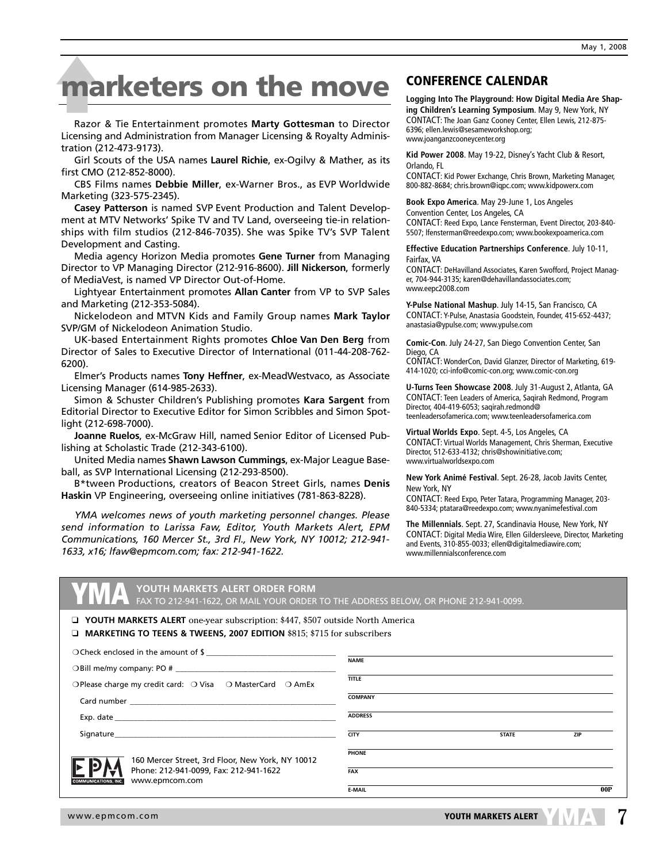# $\frac{ma}{2}$ **Marketers on the move** CONFERENCE CALENDAR

Razor & Tie Entertainment promotes **Marty Gottesman** to Director Licensing and Administration from Manager Licensing & Royalty Administration (212-473-9173).

Girl Scouts of the USA names **Laurel Richie**, ex-Ogilvy & Mather, as its first CMO (212-852-8000).

CBS Films names **Debbie Miller**, ex-Warner Bros., as EVP Worldwide Marketing (323-575-2345).

**Casey Patterson** is named SVP Event Production and Talent Development at MTV Networks' Spike TV and TV Land, overseeing tie-in relationships with film studios (212-846-7035). She was Spike TV's SVP Talent Development and Casting.

Media agency Horizon Media promotes **Gene Turner** from Managing Director to VP Managing Director (212-916-8600). **Jill Nickerson**, formerly of MediaVest, is named VP Director Out-of-Home.

Lightyear Entertainment promotes **Allan Canter** from VP to SVP Sales and Marketing (212-353-5084).

Nickelodeon and MTVN Kids and Family Group names **Mark Taylor** SVP/GM of Nickelodeon Animation Studio.

UK-based Entertainment Rights promotes **Chloe Van Den Berg** from Director of Sales to Executive Director of International (011-44-208-762- 6200).

Elmer's Products names **Tony Heffner**, ex-MeadWestvaco, as Associate Licensing Manager (614-985-2633).

Simon & Schuster Children's Publishing promotes **Kara Sargent** from Editorial Director to Executive Editor for Simon Scribbles and Simon Spotlight (212-698-7000).

**Joanne Ruelos**, ex-McGraw Hill, named Senior Editor of Licensed Publishing at Scholastic Trade (212-343-6100).

United Media names **Shawn Lawson Cummings**, ex-Major League Baseball, as SVP International Licensing (212-293-8500).

B\*tween Productions, creators of Beacon Street Girls, names **Denis Haskin** VP Engineering, overseeing online initiatives (781-863-8228).

*YMA welcomes news of youth marketing personnel changes. Please send information to Larissa Faw, Editor, Youth Markets Alert, EPM Communications, 160 Mercer St., 3rd Fl., New York, NY 10012; 212-941- 1633, x16; lfaw@epmcom.com; fax: 212-941-1622.*

**Logging Into The Playground: How Digital Media Are Shaping Children's Learning Symposium**. May 9, New York, NY CONTACT: The Joan Ganz Cooney Center, Ellen Lewis, 212-875- 6396; ellen.lewis@sesameworkshop.org; www.joanganzcooneycenter.org

**Kid Power 2008**. May 19-22, Disney's Yacht Club & Resort, Orlando, FL

CONTACT: Kid Power Exchange, Chris Brown, Marketing Manager, 800-882-8684; chris.brown@iqpc.com; www.kidpowerx.com

**Book Expo America**. May 29-June 1, Los Angeles Convention Center, Los Angeles, CA CONTACT: Reed Expo, Lance Fensterman, Event Director, 203-840- 5507; lfensterman@reedexpo.com; www.bookexpoamerica.com

**Effective Education Partnerships Conference**. July 10-11, Fairfax, VA

CONTACT: DeHavilland Associates, Karen Swofford, Project Manager, 704-944-3135; karen@dehavillandassociates.com; www.eepc2008.com

**Y-Pulse National Mashup**. July 14-15, San Francisco, CA CONTACT: Y-Pulse, Anastasia Goodstein, Founder, 415-652-4437; anastasia@ypulse.com; www.ypulse.com

**Comic-Con**. July 24-27, San Diego Convention Center, San Diego, CA

CONTACT: WonderCon, David Glanzer, Director of Marketing, 619- 414-1020; cci-info@comic-con.org; www.comic-con.org

**U-Turns Teen Showcase 2008**. July 31-August 2, Atlanta, GA CONTACT: Teen Leaders of America, Saqirah Redmond, Program Director, 404-419-6053; saqirah.redmond@ teenleadersofamerica.com; www.teenleadersofamerica.com

**Virtual Worlds Expo**. Sept. 4-5, Los Angeles, CA CONTACT: Virtual Worlds Management, Chris Sherman, Executive Director, 512-633-4132; chris@showinitiative.com; www.virtualworldsexpo.com

**New York Animé Festival**. Sept. 26-28, Jacob Javits Center, New York, NY

CONTACT: Reed Expo, Peter Tatara, Programming Manager, 203- 840-5334; ptatara@reedexpo.com; www.nyanimefestival.com

**The Millennials**. Sept. 27, Scandinavia House, New York, NY CONTACT: Digital Media Wire, Ellen Gildersleeve, Director, Marketing and Events, 310-855-0033; ellen@digitalmediawire.com; www.millennialsconference.com

**YOUTH MARKETS ALERT ORDER FORM <b>FAX** TO THE ADDRESS BELOW, OR PHONE 212-941-0099.<br>FAX TO 212-941-1622, OR MAIL YOUR ORDER TO THE ADDRESS BELOW, OR PHONE 212-941-0099.

❑ **YOUTH MARKETS ALERT** one-year subscription: \$447, \$507 outside North America ❑ **MARKETING TO TEENS & TWEENS, 2007 EDITION** \$815; \$715 for subscribers

| O Check enclosed in the amount of \$                                                    |                |              |            |
|-----------------------------------------------------------------------------------------|----------------|--------------|------------|
|                                                                                         | <b>NAME</b>    |              |            |
| ○Please charge my credit card: ○ Visa ○ MasterCard ○ AmEx                               | <b>TITLE</b>   |              |            |
|                                                                                         | <b>COMPANY</b> |              |            |
|                                                                                         | <b>ADDRESS</b> |              |            |
|                                                                                         | <b>CITY</b>    | <b>STATE</b> | <b>ZIP</b> |
| 160 Mercer Street, 3rd Floor, New York, NY 10012                                        | <b>PHONE</b>   |              |            |
| Phone: 212-941-0099, Fax: 212-941-1622<br>www.epmcom.com<br><b>COMMUNICATIONS, INC.</b> | <b>FAX</b>     |              |            |
|                                                                                         | <b>E-MAIL</b>  |              | 00P        |